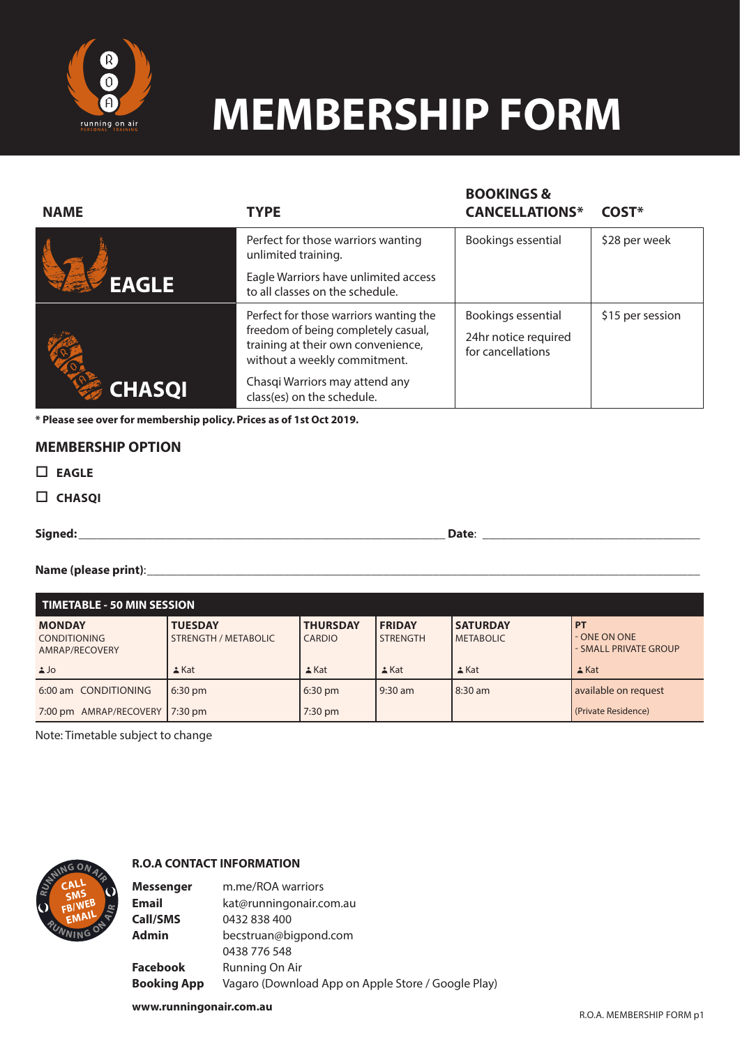

## **MEMBERSHIP FORM**

**BOOKINGS &** 

| <b>NAME</b>   | <b>TYPE</b>                                                                                                                                         | <b>BUUKINGS &amp;</b><br><b>CANCELLATIONS*</b>                  | COST*            |
|---------------|-----------------------------------------------------------------------------------------------------------------------------------------------------|-----------------------------------------------------------------|------------------|
|               | Perfect for those warriors wanting<br>unlimited training.                                                                                           | Bookings essential                                              | \$28 per week    |
| <b>EAGLE</b>  | Eagle Warriors have unlimited access<br>to all classes on the schedule.                                                                             |                                                                 |                  |
|               | Perfect for those warriors wanting the<br>freedom of being completely casual,<br>training at their own convenience,<br>without a weekly commitment. | Bookings essential<br>24hr notice required<br>for cancellations | \$15 per session |
| <b>CHASQI</b> | Chasqi Warriors may attend any<br>class(es) on the schedule.                                                                                        |                                                                 |                  |

**\* Please see over for membership policy. Prices as of 1st Oct 2019.** 

### **MEMBERSHIP OPTION**

- **EAGLE**
- **CHASQI**

**Signed:** \_\_\_\_\_\_\_\_\_\_\_\_\_\_\_\_\_\_\_\_\_\_\_\_\_\_\_\_\_\_\_\_\_\_\_\_\_\_\_\_\_\_\_\_\_\_\_\_\_\_\_\_\_\_\_\_\_\_\_ **Date**: \_\_\_\_\_\_\_\_\_\_\_\_\_\_\_\_\_\_\_\_\_\_\_\_\_\_\_\_\_\_\_\_\_\_\_

#### Name (please print):\_\_\_\_\_\_

| <b>TIMETABLE - 50 MIN SESSION</b>                      |                                               |                                  |                                  |                                     |                                                    |  |  |
|--------------------------------------------------------|-----------------------------------------------|----------------------------------|----------------------------------|-------------------------------------|----------------------------------------------------|--|--|
| <b>MONDAY</b><br><b>CONDITIONING</b><br>AMRAP/RECOVERY | <b>TUESDAY</b><br><b>STRENGTH / METABOLIC</b> | <b>THURSDAY</b><br><b>CARDIO</b> | <b>FRIDAY</b><br><b>STRENGTH</b> | <b>SATURDAY</b><br><b>METABOLIC</b> | <b>PT</b><br>- ONE ON ONE<br>- SMALL PRIVATE GROUP |  |  |
| $\Delta$ Jo                                            | $k$ Kat                                       | $\triangle$ Kat                  | $\triangle$ Kat                  | $\triangle$ Kat                     | $\triangle$ Kat                                    |  |  |
| 6:00 am CONDITIONING                                   | $6:30 \text{ pm}$                             | $6:30$ pm                        | $9:30$ am                        | 8:30 am                             | available on request                               |  |  |
| 7:00 pm AMRAP/RECOVERY                                 | $17:30 \text{ pm}$                            | 7:30 pm                          |                                  |                                     | (Private Residence)                                |  |  |

Note: Timetable subject to change



#### **R.O.A CONTACT INFORMATION**

**Messenger** m.me/ROA warriors **Email** kat@runningonair.com.au **Call/SMS** 0432 838 400 **Admin** becstruan@bigpond.com 0438 776 548 **Facebook** Running On Air **Booking App** Vagaro (Download App on Apple Store / Google Play)

**www.runningonair.com.au**